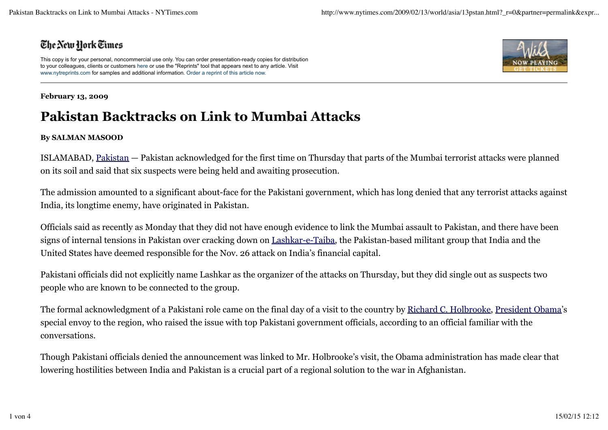## The New Hork Times

This copy is for your personal, noncommercial use only. You can order presentation-ready copies for distribution to your colleagues, clients or customers here or use the "Reprints" tool that appears next to any article. Visit www.nytreprints.com for samples and additional information. Order a reprint of this article now.



## **February 13, 2009**

## **Pakistan Backtracks on Link to Mumbai Attacks**

## **By SALMAN MASOOD**

ISLAMABAD, Pakistan — Pakistan acknowledged for the first time on Thursday that parts of the Mumbai terrorist attacks were planned on its soil and said that six suspects were being held and awaiting prosecution.

The admission amounted to a significant about-face for the Pakistani government, which has long denied that any terrorist attacks against India, its longtime enemy, have originated in Pakistan.

Officials said as recently as Monday that they did not have enough evidence to link the Mumbai assault to Pakistan, and there have been signs of internal tensions in Pakistan over cracking down on Lashkar-e-Taiba, the Pakistan-based militant group that India and the United States have deemed responsible for the Nov. 26 attack on India's financial capital.

Pakistani officials did not explicitly name Lashkar as the organizer of the attacks on Thursday, but they did single out as suspects two people who are known to be connected to the group.

The formal acknowledgment of a Pakistani role came on the final day of a visit to the country by Richard C. Holbrooke, President Obama's special envoy to the region, who raised the issue with top Pakistani government officials, according to an official familiar with the conversations.

Though Pakistani officials denied the announcement was linked to Mr. Holbrooke's visit, the Obama administration has made clear that lowering hostilities between India and Pakistan is a crucial part of a regional solution to the war in Afghanistan.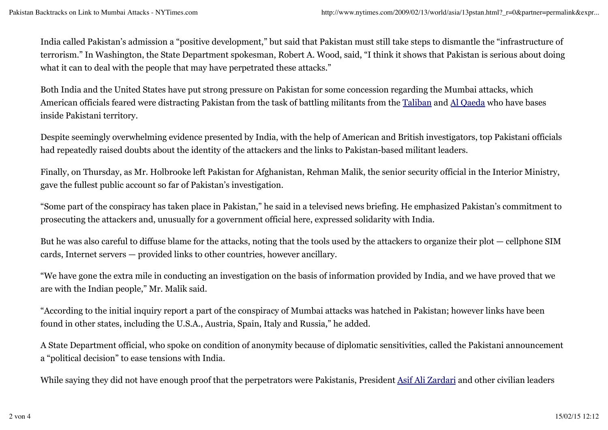India called Pakistan's admission a "positive development," but said that Pakistan must still take steps to dismantle the "infrastructure of terrorism." In Washington, the State Department spokesman, Robert A. Wood, said, "I think it shows that Pakistan is serious about doing what it can to deal with the people that may have perpetrated these attacks."

Both India and the United States have put strong pressure on Pakistan for some concession regarding the Mumbai attacks, which American officials feared were distracting Pakistan from the task of battling militants from the Taliban and Al Qaeda who have bases inside Pakistani territory.

Despite seemingly overwhelming evidence presented by India, with the help of American and British investigators, top Pakistani officials had repeatedly raised doubts about the identity of the attackers and the links to Pakistan-based militant leaders.

Finally, on Thursday, as Mr. Holbrooke left Pakistan for Afghanistan, Rehman Malik, the senior security official in the Interior Ministry, gave the fullest public account so far of Pakistan's investigation.

"Some part of the conspiracy has taken place in Pakistan," he said in a televised news briefing. He emphasized Pakistan's commitment to prosecuting the attackers and, unusually for a government official here, expressed solidarity with India.

But he was also careful to diffuse blame for the attacks, noting that the tools used by the attackers to organize their plot — cellphone SIM cards, Internet servers — provided links to other countries, however ancillary.

"We have gone the extra mile in conducting an investigation on the basis of information provided by India, and we have proved that we are with the Indian people," Mr. Malik said.

"According to the initial inquiry report a part of the conspiracy of Mumbai attacks was hatched in Pakistan; however links have been found in other states, including the U.S.A., Austria, Spain, Italy and Russia," he added.

A State Department official, who spoke on condition of anonymity because of diplomatic sensitivities, called the Pakistani announcement a "political decision" to ease tensions with India.

While saying they did not have enough proof that the perpetrators were Pakistanis, President Asif Ali Zardari and other civilian leaders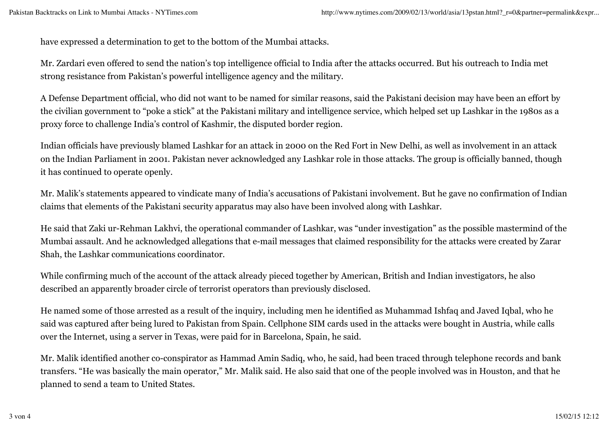have expressed a determination to get to the bottom of the Mumbai attacks.

Mr. Zardari even offered to send the nation's top intelligence official to India after the attacks occurred. But his outreach to India met strong resistance from Pakistan's powerful intelligence agency and the military.

A Defense Department official, who did not want to be named for similar reasons, said the Pakistani decision may have been an effort by the civilian government to "poke a stick" at the Pakistani military and intelligence service, which helped set up Lashkar in the 1980s as a proxy force to challenge India's control of Kashmir, the disputed border region.

Indian officials have previously blamed Lashkar for an attack in 2000 on the Red Fort in New Delhi, as well as involvement in an attack on the Indian Parliament in 2001. Pakistan never acknowledged any Lashkar role in those attacks. The group is officially banned, though it has continued to operate openly.

Mr. Malik's statements appeared to vindicate many of India's accusations of Pakistani involvement. But he gave no confirmation of Indian claims that elements of the Pakistani security apparatus may also have been involved along with Lashkar.

He said that Zaki ur-Rehman Lakhvi, the operational commander of Lashkar, was "under investigation" as the possible mastermind of the Mumbai assault. And he acknowledged allegations that e-mail messages that claimed responsibility for the attacks were created by Zarar Shah, the Lashkar communications coordinator.

While confirming much of the account of the attack already pieced together by American, British and Indian investigators, he also described an apparently broader circle of terrorist operators than previously disclosed.

He named some of those arrested as a result of the inquiry, including men he identified as Muhammad Ishfaq and Javed Iqbal, who he said was captured after being lured to Pakistan from Spain. Cellphone SIM cards used in the attacks were bought in Austria, while calls over the Internet, using a server in Texas, were paid for in Barcelona, Spain, he said.

Mr. Malik identified another co-conspirator as Hammad Amin Sadiq, who, he said, had been traced through telephone records and bank transfers. "He was basically the main operator," Mr. Malik said. He also said that one of the people involved was in Houston, and that he planned to send a team to United States.